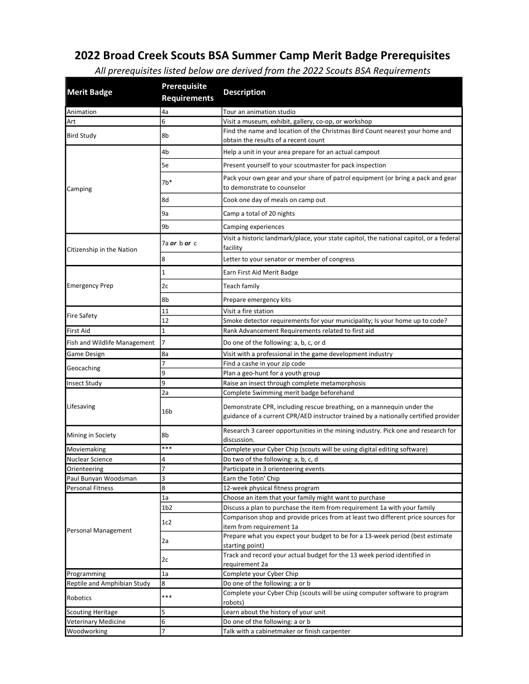## 2022 Broad Creek Scouts BSA Summer Camp Merit Badge Prerequisites

| <b>Merit Badge</b>           | <b>Prerequisite</b><br><b>Requirements</b> | <b>Description</b>                                                                                                                                                                                       |
|------------------------------|--------------------------------------------|----------------------------------------------------------------------------------------------------------------------------------------------------------------------------------------------------------|
| Animation                    | 4a                                         | Tour an animation studio                                                                                                                                                                                 |
| Art                          | 6                                          | Visit a museum, exhibit, gallery, co-op, or workshop                                                                                                                                                     |
| <b>Bird Study</b>            | 8b                                         | Find the name and location of the Christmas Bird Count nearest your home and<br>obtain the results of a recent count                                                                                     |
|                              | 4b                                         | Help a unit in your area prepare for an actual campout                                                                                                                                                   |
|                              | 5e                                         | Present yourself to your scoutmaster for pack inspection                                                                                                                                                 |
| Camping                      | $7b*$                                      | Pack your own gear and your share of patrol equipment (or bring a pack and gear<br>to demonstrate to counselor                                                                                           |
|                              | 8d                                         | Cook one day of meals on camp out                                                                                                                                                                        |
|                              | 9a                                         | Camp a total of 20 nights                                                                                                                                                                                |
|                              | 9b                                         | Camping experiences                                                                                                                                                                                      |
| Citizenship in the Nation    | 7a or b or c                               | Visit a historic landmark/place, your state capitol, the national capitol, or a federal<br>facility                                                                                                      |
|                              | 8                                          | Letter to your senator or member of congress                                                                                                                                                             |
|                              | $\mathbf 1$                                | Earn First Aid Merit Badge                                                                                                                                                                               |
| <b>Emergency Prep</b>        | 2c                                         | Teach family                                                                                                                                                                                             |
|                              | 8b                                         | Prepare emergency kits                                                                                                                                                                                   |
|                              | 11                                         | Visit a fire station                                                                                                                                                                                     |
| <b>Fire Safety</b>           | 12                                         | Smoke detector requirements for your municipality; Is your home up to code?                                                                                                                              |
| <b>First Aid</b>             | $\mathbf 1$                                | Rank Advancement Requirements related to first aid                                                                                                                                                       |
|                              |                                            |                                                                                                                                                                                                          |
| Fish and Wildlife Management | 7                                          | Do one of the following: a, b, c, or d                                                                                                                                                                   |
| Game Design                  | 8a                                         | Visit with a professional in the game development industry                                                                                                                                               |
| Geocaching                   | 7                                          | Find a cashe in your zip code                                                                                                                                                                            |
|                              | 9                                          | Plan a geo-hunt for a youth group                                                                                                                                                                        |
| <b>Insect Study</b>          | 9                                          | Raise an insect through complete metamorphosis                                                                                                                                                           |
| Lifesaving                   | 2a<br>16b                                  | Complete Swimming merit badge beforehand<br>Demonstrate CPR, including rescue breathing, on a mannequin under the<br>guidance of a current CPR/AED instructor trained by a nationally certified provider |
| Mining in Society            | 8b                                         | Research 3 career opportunities in the mining industry. Pick one and research for<br>discussion.                                                                                                         |
| Moviemaking                  | ***                                        | Complete your Cyber Chip (scouts will be using digital editing software)                                                                                                                                 |
| Nuclear Science              | 4                                          | Do two of the following: a, b, c, d                                                                                                                                                                      |
| Orienteering                 | $\prime$                                   | Participate in 3 orienteering events                                                                                                                                                                     |
| Paul Bunyan Woodsman         | 3                                          | Earn the Totin' Chip                                                                                                                                                                                     |
| <b>Personal Fitness</b>      | 8                                          | 12-week physical fitness program                                                                                                                                                                         |
|                              | 1a                                         | Choose an item that your family might want to purchase                                                                                                                                                   |
|                              | 1 <sub>b2</sub>                            | Discuss a plan to purchase the item from requirement 1a with your family                                                                                                                                 |
| Personal Management          | 1c2                                        | Comparison shop and provide prices from at least two different price sources for<br>item from requirement 1a                                                                                             |
|                              | 2a                                         | Prepare what you expect your budget to be for a 13-week period (best estimate<br>starting point)                                                                                                         |
|                              | 2c                                         | Track and record your actual budget for the 13 week period identified in<br>requirement 2a                                                                                                               |
| Programming                  | 1a                                         | Complete your Cyber Chip                                                                                                                                                                                 |
| Reptile and Amphibian Study  | 8                                          | Do one of the following: a or b                                                                                                                                                                          |
| Robotics                     | ***                                        | Complete your Cyber Chip (scouts will be using computer software to program<br>robots)                                                                                                                   |
| <b>Scouting Heritage</b>     | 5                                          | Learn about the history of your unit                                                                                                                                                                     |
| <b>Veterinary Medicine</b>   | 6                                          | Do one of the following: a or b                                                                                                                                                                          |

Woodworking 7 1 7 Talk with a cabinetmaker or finish carpenter

All prerequisites listed below are derived from the 2022 Scouts BSA Requirements